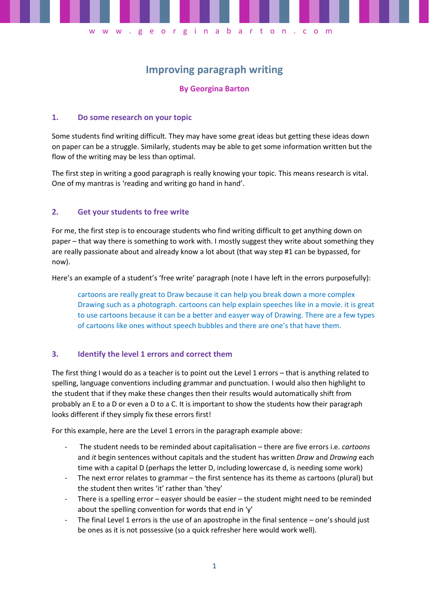# **Improving paragraph writing**

w w w . g e o r g i n a b a r t o n . c o m

### **By Georgina Barton**

### **1. Do some research on your topic**

Some students find writing difficult. They may have some great ideas but getting these ideas down on paper can be a struggle. Similarly, students may be able to get some information written but the flow of the writing may be less than optimal.

The first step in writing a good paragraph is really knowing your topic. This means research is vital. One of my mantras is 'reading and writing go hand in hand'.

### **2. Get your students to free write**

For me, the first step is to encourage students who find writing difficult to get anything down on paper – that way there is something to work with. I mostly suggest they write about something they are really passionate about and already know a lot about (that way step #1 can be bypassed, for now).

Here's an example of a student's 'free write' paragraph (note I have left in the errors purposefully):

cartoons are really great to Draw because it can help you break down a more complex Drawing such as a photograph. cartoons can help explain speeches like in a movie. it is great to use cartoons because it can be a better and easyer way of Drawing. There are a few types of cartoons like ones without speech bubbles and there are one's that have them.

### **3. Identify the level 1 errors and correct them**

The first thing I would do as a teacher is to point out the Level 1 errors – that is anything related to spelling, language conventions including grammar and punctuation. I would also then highlight to the student that if they make these changes then their results would automatically shift from probably an E to a D or even a D to a C. It is important to show the students how their paragraph looks different if they simply fix these errors first!

For this example, here are the Level 1 errors in the paragraph example above:

- The student needs to be reminded about capitalisation there are five errors i.e. *cartoons* and *it* begin sentences without capitals and the student has written *Draw* and *Drawing* each time with a capital D (perhaps the letter D, including lowercase d, is needing some work)
- The next error relates to grammar the first sentence has its theme as cartoons (plural) but the student then writes 'it' rather than 'they'
- There is a spelling error  $-$  easyer should be easier  $-$  the student might need to be reminded about the spelling convention for words that end in 'y'
- The final Level 1 errors is the use of an apostrophe in the final sentence one's should just be ones as it is not possessive (so a quick refresher here would work well).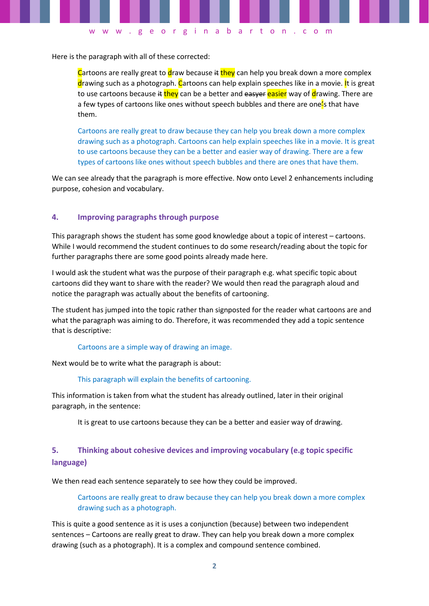Here is the paragraph with all of these corrected:

Cartoons are really great to draw because  $\frac{d}{dx}$  they can help you break down a more complex drawing such as a photograph. Cartoons can help explain speeches like in a movie. It is great to use cartoons because it they can be a better and easyer easier way of drawing. There are a few types of cartoons like ones without speech bubbles and there are one<sup>'</sup>s that have them.

w w w . g e o r g i n a b a r t o n . c o m

Cartoons are really great to draw because they can help you break down a more complex drawing such as a photograph. Cartoons can help explain speeches like in a movie. It is great to use cartoons because they can be a better and easier way of drawing. There are a few types of cartoons like ones without speech bubbles and there are ones that have them.

We can see already that the paragraph is more effective. Now onto Level 2 enhancements including purpose, cohesion and vocabulary.

### **4. Improving paragraphs through purpose**

This paragraph shows the student has some good knowledge about a topic of interest – cartoons. While I would recommend the student continues to do some research/reading about the topic for further paragraphs there are some good points already made here.

I would ask the student what was the purpose of their paragraph e.g. what specific topic about cartoons did they want to share with the reader? We would then read the paragraph aloud and notice the paragraph was actually about the benefits of cartooning.

The student has jumped into the topic rather than signposted for the reader what cartoons are and what the paragraph was aiming to do. Therefore, it was recommended they add a topic sentence that is descriptive:

#### Cartoons are a simple way of drawing an image.

Next would be to write what the paragraph is about:

#### This paragraph will explain the benefits of cartooning.

This information is taken from what the student has already outlined, later in their original paragraph, in the sentence:

It is great to use cartoons because they can be a better and easier way of drawing.

## **5. Thinking about cohesive devices and improving vocabulary (e.g topic specific language)**

We then read each sentence separately to see how they could be improved.

Cartoons are really great to draw because they can help you break down a more complex drawing such as a photograph.

This is quite a good sentence as it is uses a conjunction (because) between two independent sentences – Cartoons are really great to draw. They can help you break down a more complex drawing (such as a photograph). It is a complex and compound sentence combined.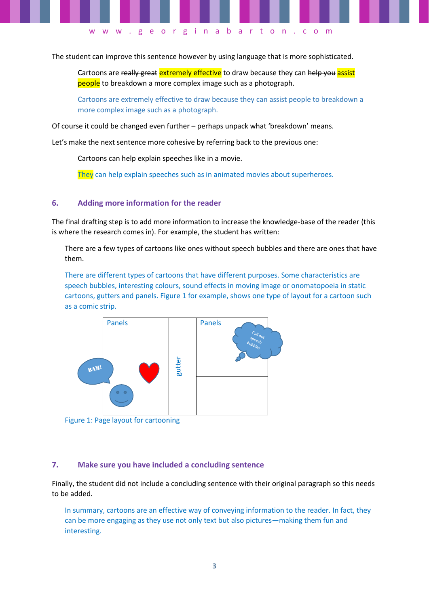The student can improve this sentence however by using language that is more sophisticated.

w w w . g e o r g i n a b a r t o n . c o m

Cartoons are really great extremely effective to draw because they can help you assist people to breakdown a more complex image such as a photograph.

Cartoons are extremely effective to draw because they can assist people to breakdown a more complex image such as a photograph.

Of course it could be changed even further – perhaps unpack what 'breakdown' means.

Let's make the next sentence more cohesive by referring back to the previous one:

Cartoons can help explain speeches like in a movie.

They can help explain speeches such as in animated movies about superheroes.

### **6. Adding more information for the reader**

The final drafting step is to add more information to increase the knowledge-base of the reader (this is where the research comes in). For example, the student has written:

There are a few types of cartoons like ones without speech bubbles and there are ones that have them.

There are different types of cartoons that have different purposes. Some characteristics are speech bubbles, interesting colours, sound effects in moving image or onomatopoeia in static cartoons, gutters and panels. Figure 1 for example, shows one type of layout for a cartoon such as a comic strip.



Figure 1: Page layout for cartooning

### **7. Make sure you have included a concluding sentence**

Finally, the student did not include a concluding sentence with their original paragraph so this needs to be added.

In summary, cartoons are an effective way of conveying information to the reader. In fact, they can be more engaging as they use not only text but also pictures—making them fun and interesting.